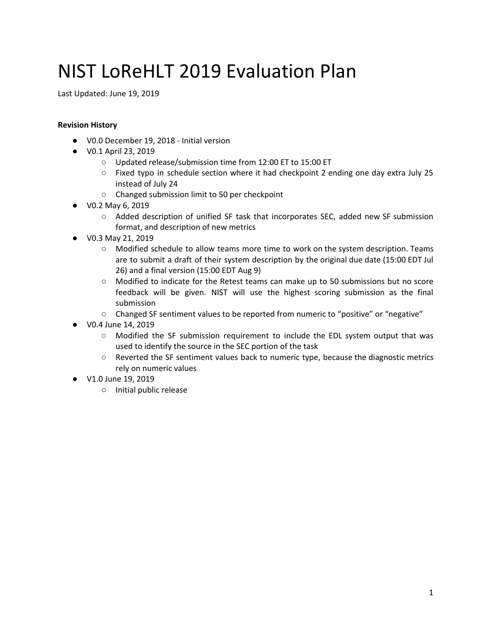# NIST LoReHLT 2019 Evaluation Plan

Last Updated: June 19, 2019

#### **Revision History**

- V0.0 December 19, 2018 Initial version
- V0.1 April 23, 2019
	- Updated release/submission time from 12:00 ET to 15:00 ET
	- $\circ$  Fixed typo in schedule section where it had checkpoint 2 ending one day extra July 25 instead of July 24
	- Changed submission limit to 50 per checkpoint
- V0.2 May 6, 2019
	- Added description of unified SF task that incorporates SEC, added new SF submission format, and description of new metrics
- V0.3 May 21, 2019
	- Modified schedule to allow teams more time to work on the system description. Teams are to submit a draft of their system description by the original due date (15:00 EDT Jul 26) and a final version (15:00 EDT Aug 9)
	- Modified to indicate for the Retest teams can make up to 50 submissions but no score feedback will be given. NIST will use the highest scoring submission as the final submission
	- Changed SF sentiment values to be reported from numeric to "positive" or "negative"
- V0.4 June 14, 2019
	- Modified the SF submission requirement to include the EDL system output that was used to identify the source in the SEC portion of the task
	- Reverted the SF sentiment values back to numeric type, because the diagnostic metrics rely on numeric values
- V1.0 June 19, 2019
	- Initial public release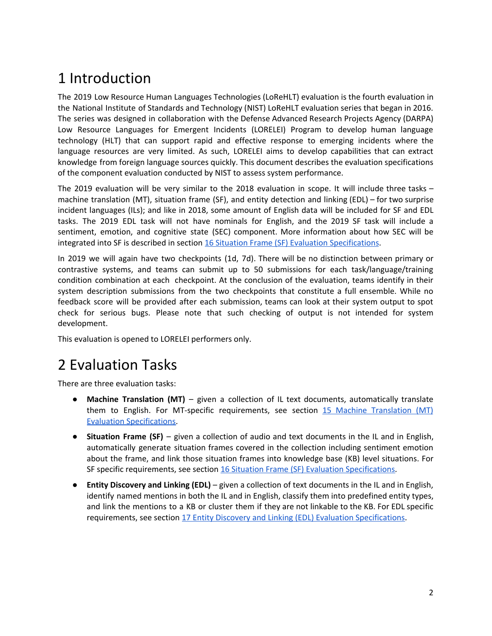## 1 Introduction

The 2019 Low Resource Human Languages Technologies (LoReHLT) evaluation is the fourth evaluation in the National Institute of Standards and Technology (NIST) LoReHLT evaluation series that began in 2016. The series was designed in collaboration with the Defense Advanced Research Projects Agency (DARPA) Low Resource Languages for Emergent Incidents (LORELEI) Program to develop human language technology (HLT) that can support rapid and effective response to emerging incidents where the language resources are very limited. As such, LORELEI aims to develop capabilities that can extract knowledge from foreign language sources quickly. This document describes the evaluation specifications of the component evaluation conducted by NIST to assess system performance.

The 2019 evaluation will be very similar to the 2018 evaluation in scope. It will include three tasks – machine translation (MT), situation frame (SF), and entity detection and linking (EDL) – for two surprise incident languages (ILs); and like in 2018, some amount of English data will be included for SF and EDL tasks. The 2019 EDL task will not have nominals for English, and the 2019 SF task will include a sentiment, emotion, and cognitive state (SEC) component. More information about how SEC will be integrated into SF is described in section 16 Situation Frame (SF) Evaluation [Specifications.](#page-13-0)

In 2019 we will again have two checkpoints (1d, 7d). There will be no distinction between primary or contrastive systems, and teams can submit up to 50 submissions for each task/language/training condition combination at each checkpoint. At the conclusion of the evaluation, teams identify in their system description submissions from the two checkpoints that constitute a full ensemble. While no feedback score will be provided after each submission, teams can look at their system output to spot check for serious bugs. Please note that such checking of output is not intended for system development.

This evaluation is opened to LORELEI performers only.

## 2 Evaluation Tasks

There are three evaluation tasks:

- **Machine Translation (MT)** given a collection of IL text documents, automatically translate them to English. For MT-specific requirements, see section 15 Machine [Translation](#page-11-0) (MT) Evaluation [Specifications.](#page-11-0)
- **Situation Frame (SF)** given a collection of audio and text documents in the IL and in English, automatically generate situation frames covered in the collection including sentiment emotion about the frame, and link those situation frames into knowledge base (KB) level situations. For SF specific requirements, see section 16 Situation Frame (SF) Evaluation [Specifications.](#page-13-0)
- **Entity Discovery and Linking (EDL)** given a collection of text documents in the IL and in English, identify named mentions in both the IL and in English, classify them into predefined entity types, and link the mentions to a KB or cluster them if they are not linkable to the KB. For EDL specific requirements, see section 17 Entity Discovery and Linking (EDL) Evaluation Specifications.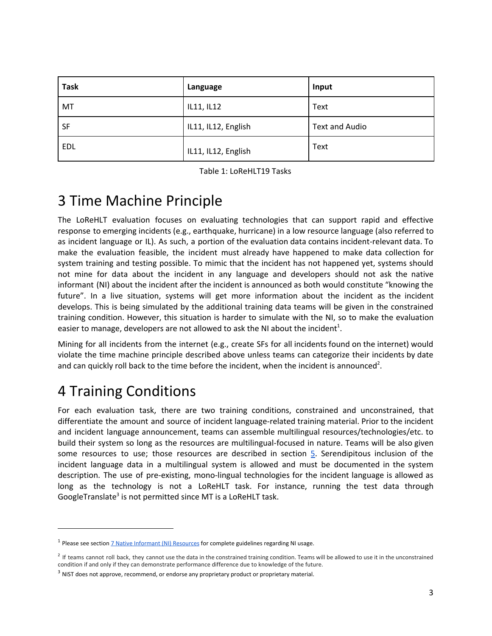| <b>Task</b> | Language            | Input          |
|-------------|---------------------|----------------|
| MT          | IL11, IL12          | Text           |
| <b>SF</b>   | IL11, IL12, English | Text and Audio |
| EDL         | IL11, IL12, English | Text           |

Table 1: LoReHLT19 Tasks

## 3 Time Machine Principle

The LoReHLT evaluation focuses on evaluating technologies that can support rapid and effective response to emerging incidents (e.g., earthquake, hurricane) in a low resource language (also referred to as incident language or IL). As such, a portion of the evaluation data contains incident-relevant data. To make the evaluation feasible, the incident must already have happened to make data collection for system training and testing possible. To mimic that the incident has not happened yet, systems should not mine for data about the incident in any language and developers should not ask the native informant (NI) about the incident after the incident is announced as both would constitute "knowing the future". In a live situation, systems will get more information about the incident as the incident develops. This is being simulated by the additional training data teams will be given in the constrained training condition. However, this situation is harder to simulate with the NI, so to make the evaluation easier to manage, developers are not allowed to ask the NI about the incident<sup>1</sup>.

Mining for all incidents from the internet (e.g., create SFs for all incidents found on the internet) would violate the time machine principle described above unless teams can categorize their incidents by date and can quickly roll back to the time before the incident, when the incident is announced<sup>2</sup>.

## 4 Training Conditions

For each evaluation task, there are two training conditions, constrained and unconstrained, that differentiate the amount and source of incident language-related training material. Prior to the incident and incident language announcement, teams can assemble multilingual resources/technologies/etc. to build their system so long as the resources are multilingual-focused in nature. Teams will be also given some resources to use; those resources are described in section  $5$ . Serendipitous inclusion of the incident language data in a multilingual system is allowed and must be documented in the system description. The use of pre-existing, mono-lingual technologies for the incident language is allowed as long as the technology is not a LoReHLT task. For instance, running the test data through GoogleTranslate<sup>3</sup> is not permitted since MT is a LoReHLT task.

<sup>&</sup>lt;sup>1</sup> Please see section **7** Native Informant (NI) [Resources](#page-6-0) for complete guidelines regarding NI usage.

<sup>&</sup>lt;sup>2</sup> If teams cannot roll back, they cannot use the data in the constrained training condition. Teams will be allowed to use it in the unconstrained condition if and only if they can demonstrate performance difference due to knowledge of the future.

<sup>&</sup>lt;sup>3</sup> NIST does not approve, recommend, or endorse any proprietary product or proprietary material.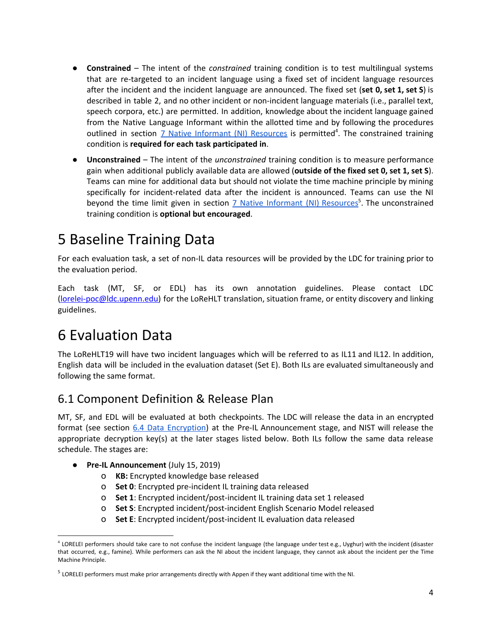- **Constrained** The intent of the *constrained* training condition is to test multilingual systems that are re-targeted to an incident language using a fixed set of incident language resources after the incident and the incident language are announced. The fixed set (**set 0, set 1, set S**) is described in table 2, and no other incident or non-incident language materials (i.e., parallel text, speech corpora, etc.) are permitted. In addition, knowledge about the incident language gained from the Native Language Informant within the allotted time and by following the procedures outlined in section **7** Native Informant (NI) [Resources](#page-6-0) is permitted<sup>4</sup>. The constrained training condition is **required for each task participated in**.
- **Unconstrained** The intent of the *unconstrained* training condition is to measure performance gain when additional publicly available data are allowed (**outside of the fixed set 0, set 1, set S**). Teams can mine for additional data but should not violate the time machine principle by mining specifically for incident-related data after the incident is announced. Teams can use the NI beyond the time limit given in section 7 Native Informant (NI) [Resources](#page-6-0)<sup>5</sup>. The unconstrained training condition is **optional but encouraged**.

## <span id="page-3-0"></span>5 Baseline Training Data

For each evaluation task, a set of non-IL data resources will be provided by the LDC for training prior to the evaluation period.

Each task (MT, SF, or EDL) has its own annotation guidelines. Please contact LDC [\(lorelei-poc@ldc.upenn.edu\)](mailto:lorelei-poc@ldc.upenn.edu) for the LoReHLT translation, situation frame, or entity discovery and linking guidelines.

## 6 Evaluation Data

The LoReHLT19 will have two incident languages which will be referred to as IL11 and IL12. In addition, English data will be included in the evaluation dataset (Set E). Both ILs are evaluated simultaneously and following the same format.

### 6.1 Component Definition & Release Plan

MT, SF, and EDL will be evaluated at both checkpoints. The LDC will release the data in an encrypted format (see section 6.4 Data [Encryption](#page-4-0)) at the Pre-IL Announcement stage, and NIST will release the appropriate decryption key(s) at the later stages listed below. Both ILs follow the same data release schedule. The stages are:

- **Pre-IL Announcement** (July 15, 2019)
	- o **KB:** Encrypted knowledge base released
	- o **Set 0**: Encrypted pre-incident IL training data released
	- o **Set 1**: Encrypted incident/post-incident IL training data set 1 released
	- o **Set S**: Encrypted incident/post-incident English Scenario Model released
	- o **Set E**: Encrypted incident/post-incident IL evaluation data released

<sup>&</sup>lt;sup>4</sup> LORELEI performers should take care to not confuse the incident language (the language under test e.g., Uyghur) with the incident (disaster that occurred, e.g., famine). While performers can ask the NI about the incident language, they cannot ask about the incident per the Time Machine Principle.

<sup>5</sup> LORELEI performers must make prior arrangements directly with Appen if they want additional time with the NI.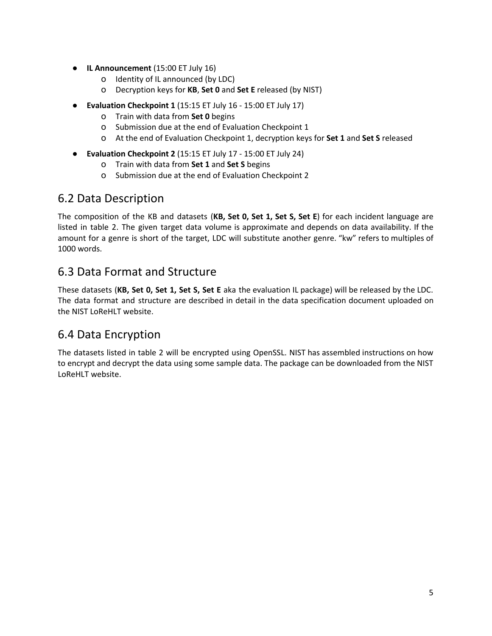- **IL Announcement** (15:00 ET July 16)
	- o Identity of IL announced (by LDC)
	- o Decryption keys for **KB**, **Set 0** and **Set E** released (by NIST)
- **Evaluation Checkpoint 1** (15:15 ET July 16 15:00 ET July 17)
	- o Train with data from **Set 0** begins
	- o Submission due at the end of Evaluation Checkpoint 1
	- o At the end of Evaluation Checkpoint 1, decryption keys for **Set 1** and **Set S** released
- **Evaluation Checkpoint 2** (15:15 ET July 17 15:00 ET July 24)
	- o Train with data from **Set 1** and **Set S** begins
	- o Submission due at the end of Evaluation Checkpoint 2

### 6.2 Data Description

The composition of the KB and datasets (**KB, Set 0, Set 1, Set S, Set E**) for each incident language are listed in table 2. The given target data volume is approximate and depends on data availability. If the amount for a genre is short of the target, LDC will substitute another genre. "kw" refers to multiples of 1000 words.

## 6.3 Data Format and Structure

These datasets (**KB, Set 0, Set 1, Set S, Set E** aka the evaluation IL package) will be released by the LDC. The data format and structure are described in detail in the data specification document uploaded on the NIST LoReHLT website.

## <span id="page-4-0"></span>6.4 Data Encryption

The datasets listed in table 2 will be encrypted using OpenSSL. NIST has assembled instructions on how to encrypt and decrypt the data using some sample data. The package can be downloaded from the NIST LoReHLT website.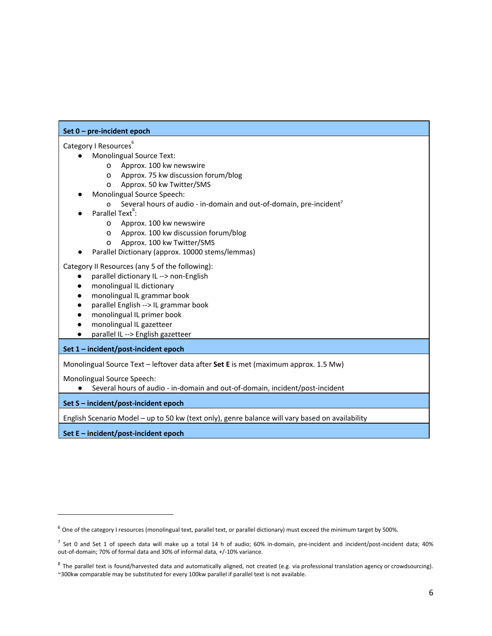#### **Set 0 – pre-incident epoch**

#### Category I Resources<sup>6</sup>

- Monolingual Source Text:
	- o Approx. 100 kw newswire
	- o Approx. 75 kw discussion forum/blog
	- o Approx. 50 kw Twitter/SMS
- Monolingual Source Speech:
	- o Several hours of audio in-domain and out-of-domain, pre-incident<sup>7</sup>
- $\bullet$  Parallel Text<sup>8</sup>:
	- o Approx. 100 kw newswire
	- o Approx. 100 kw discussion forum/blog
	- o Approx. 100 kw Twitter/SMS
- Parallel Dictionary (approx. 10000 stems/lemmas)

Category II Resources (any 5 of the following):

- parallel dictionary IL --> non-English
- monolingual IL dictionary
- monolingual IL grammar book
- parallel English --> IL grammar book
- monolingual IL primer book
- monolingual IL gazetteer
- parallel IL --> English gazetteer

#### **Set 1 – incident/post-incident epoch**

Monolingual Source Text – leftover data after **Set E** is met (maximum approx. 1.5 Mw)

Monolingual Source Speech:

● Several hours of audio - in-domain and out-of-domain, incident/post-incident

#### **Set S – incident/post-incident epoch**

English Scenario Model – up to 50 kw (text only), genre balance will vary based on availability

**Set E – incident/post-incident epoch**

 $^6$  One of the category I resources (monolingual text, parallel text, or parallel dictionary) must exceed the minimum target by 500%.

 $^7$  Set 0 and Set 1 of speech data will make up a total 14 h of audio; 60% in-domain, pre-incident and incident/post-incident data; 40% out-of-domain; 70% of formal data and 30% of informal data, +/-10% variance.

 $8$  The parallel text is found/harvested data and automatically aligned, not created (e.g. via professional translation agency or crowdsourcing). ~300kw comparable may be substituted for every 100kw parallel if parallel text is not available.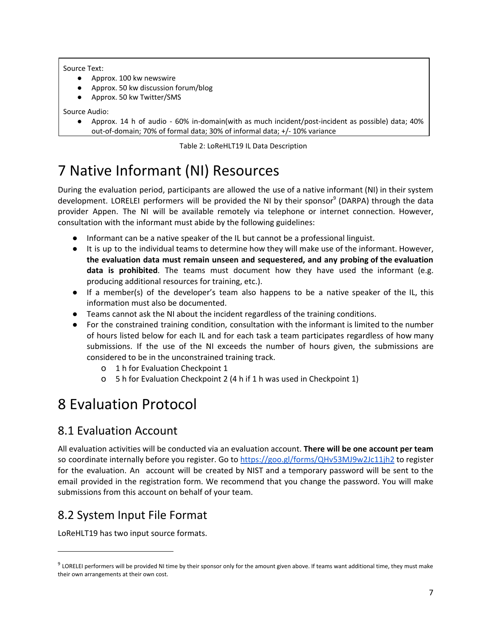#### Source Text:

- Approx. 100 kw newswire
- Approx. 50 kw discussion forum/blog
- Approx. 50 kw Twitter/SMS

Source Audio:

● Approx. 14 h of audio - 60% in-domain(with as much incident/post-incident as possible) data; 40% out-of-domain; 70% of formal data; 30% of informal data; +/- 10% variance

Table 2: LoReHLT19 IL Data Description

## <span id="page-6-0"></span>7 Native Informant (NI) Resources

During the evaluation period, participants are allowed the use of a native informant (NI) in their system development. LORELEI performers will be provided the NI by their sponsor<sup>9</sup> (DARPA) through the data provider Appen. The NI will be available remotely via telephone or internet connection. However, consultation with the informant must abide by the following guidelines:

- Informant can be a native speaker of the IL but cannot be a professional linguist.
- It is up to the individual teams to determine how they will make use of the informant. However, **the evaluation data must remain unseen and sequestered, and any probing of the evaluation data is prohibited**. The teams must document how they have used the informant (e.g. producing additional resources for training, etc.).
- If a member(s) of the developer's team also happens to be a native speaker of the IL, this information must also be documented.
- Teams cannot ask the NI about the incident regardless of the training conditions.
- For the constrained training condition, consultation with the informant is limited to the number of hours listed below for each IL and for each task a team participates regardless of how many submissions. If the use of the NI exceeds the number of hours given, the submissions are considered to be in the unconstrained training track.
	- o 1 h for Evaluation Checkpoint 1
	- o 5 h for Evaluation Checkpoint 2 (4 h if 1 h was used in Checkpoint 1)

## 8 Evaluation Protocol

### 8.1 Evaluation Account

All evaluation activities will be conducted via an evaluation account. **There will be one account per team** so coordinate internally before you register. Go to <https://goo.gl/forms/QHv53MJ9w2Jc11jh2> to register for the evaluation. An account will be created by NIST and a temporary password will be sent to the email provided in the registration form. We recommend that you change the password. You will make submissions from this account on behalf of your team.

### 8.2 System Input File Format

LoReHLT19 has two input source formats.

 $^9$  LORELEI performers will be provided NI time by their sponsor only for the amount given above. If teams want additional time, they must make their own arrangements at their own cost.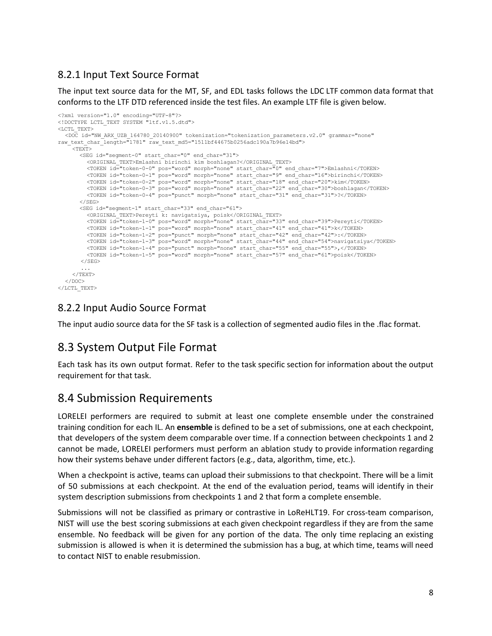#### 8.2.1 Input Text Source Format

The input text source data for the MT, SF, and EDL tasks follows the LDC LTF common data format that conforms to the LTF DTD referenced inside the test files. An example LTF file is given below.

```
<?xml version="1.0" encoding="UTF-8"?>
<!DOCTYPE LCTL_TEXT SYSTEM "ltf.v1.5.dtd">
<LCTL_TEXT>
  <DOC id="NW_ARX_UZB_164780_20140900" tokenization="tokenization_parameters.v2.0" grammar="none"
raw_text_char_length="1781" raw_text_md5="1511bf44675b0256adc190a7b96e14bd">
    <TEXT>
      <SEG id="segment-0" start_char="0" end_char="31">
         <ORIGINAL_TEXT>Emlashni birinchi kim boshlagan?</ORIGINAL_TEXT>
         <TOKEN id="token-0-0" pos="word" morph="none" start_char="0" end_char="7">Emlashni</TOKEN>
         <TOKEN id="token-0-1" pos="word" morph="none" start_char="9" end_char="16">birinchi</TOKEN>
         <TOKEN id="token-0-2" pos="word" morph="none" start_char="18" end_char="20">kim</TOKEN>
         <TOKEN id="token-0-3" pos="word" morph="none" start_char="22" end_char="30">boshlagan</TOKEN>
         <TOKEN id="token-0-4" pos="punct" morph="none" start_char="31" end_char="31">?</TOKEN>
      \langle/SEG>
      <SEG id="segment-1" start_char="33" end_char="61">
         <ORIGINAL_TEXT>Pereyti k: navigatsiya, poisk</ORIGINAL_TEXT>
         <TOKEN id="token-1-0" pos="word" morph="none" start_char="33" end_char="39">Pereyti</TOKEN>
         <TOKEN id="token-1-1" pos="word" morph="none" start_char="41" end_char="41">k</TOKEN>
         <TOKEN id="token-1-2" pos="punct" morph="none" start_char="42" end_char="42">:</TOKEN>
         <TOKEN id="token-1-3" pos="word" morph="none" start_char="44" end_char="54">navigatsiya</TOKEN>
         <TOKEN id="token-1-4" pos="punct" morph="none" start_char="55" end_char="55">,</TOKEN>
         <TOKEN id="token-1-5" pos="word" morph="none" start_char="57" end_char="61">poisk</TOKEN>
       </SEG>
       ...
    </TEXT>
  \langle/DOC>
\langle/LCTL_TEXT>
```
#### 8.2.2 Input Audio Source Format

The input audio source data for the SF task is a collection of segmented audio files in the .flac format.

### 8.3 System Output File Format

Each task has its own output format. Refer to the task specific section for information about the output requirement for that task.

### 8.4 Submission Requirements

LORELEI performers are required to submit at least one complete ensemble under the constrained training condition for each IL. An **ensemble** is defined to be a set of submissions, one at each checkpoint, that developers of the system deem comparable over time. If a connection between checkpoints 1 and 2 cannot be made, LORELEI performers must perform an ablation study to provide information regarding how their systems behave under different factors (e.g., data, algorithm, time, etc.).

When a checkpoint is active, teams can upload their submissions to that checkpoint. There will be a limit of 50 submissions at each checkpoint. At the end of the evaluation period, teams will identify in their system description submissions from checkpoints 1 and 2 that form a complete ensemble.

Submissions will not be classified as primary or contrastive in LoReHLT19. For cross-team comparison, NIST will use the best scoring submissions at each given checkpoint regardless if they are from the same ensemble. No feedback will be given for any portion of the data. The only time replacing an existing submission is allowed is when it is determined the submission has a bug, at which time, teams will need to contact NIST to enable resubmission.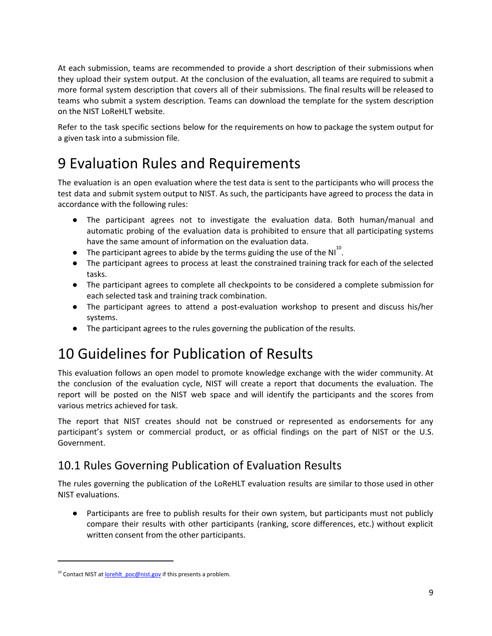At each submission, teams are recommended to provide a short description of their submissions when they upload their system output. At the conclusion of the evaluation, all teams are required to submit a more formal system description that covers all of their submissions. The final results will be released to teams who submit a system description. Teams can download the template for the system description on the NIST LoReHLT website.

Refer to the task specific sections below for the requirements on how to package the system output for a given task into a submission file.

## <span id="page-8-0"></span>9 Evaluation Rules and Requirements

The evaluation is an open evaluation where the test data is sent to the participants who will process the test data and submit system output to NIST. As such, the participants have agreed to process the data in accordance with the following rules:

- The participant agrees not to investigate the evaluation data. Both human/manual and automatic probing of the evaluation data is prohibited to ensure that all participating systems have the same amount of information on the evaluation data.
- $\bullet$  The participant agrees to abide by the terms guiding the use of the NI<sup>10</sup>.
- The participant agrees to process at least the constrained training track for each of the selected tasks.
- The participant agrees to complete all checkpoints to be considered a complete submission for each selected task and training track combination.
- The participant agrees to attend a post-evaluation workshop to present and discuss his/her systems.
- The participant agrees to the rules governing the publication of the results.

## 10 Guidelines for Publication of Results

This evaluation follows an open model to promote knowledge exchange with the wider community. At the conclusion of the evaluation cycle, NIST will create a report that documents the evaluation. The report will be posted on the NIST web space and will identify the participants and the scores from various metrics achieved for task.

The report that NIST creates should not be construed or represented as endorsements for any participant's system or commercial product, or as official findings on the part of NIST or the U.S. Government.

## 10.1 Rules Governing Publication of Evaluation Results

The rules governing the publication of the LoReHLT evaluation results are similar to those used in other NIST evaluations.

● Participants are free to publish results for their own system, but participants must not publicly compare their results with other participants (ranking, score differences, etc.) without explicit written consent from the other participants.

 $10$  Contact NIST at lorehlt poc@nist.gov if this presents a problem.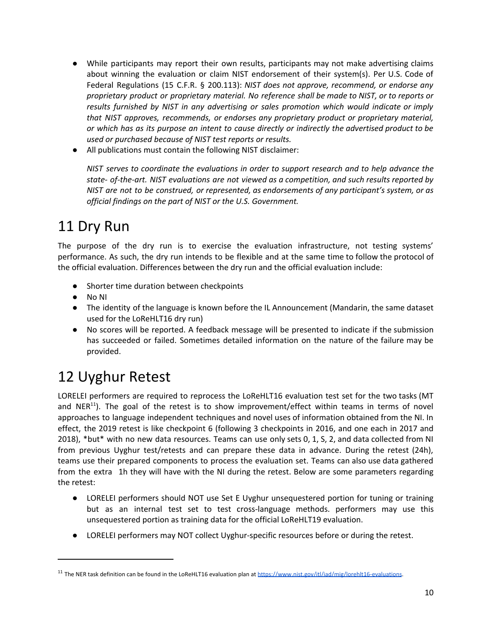- While participants may report their own results, participants may not make advertising claims about winning the evaluation or claim NIST endorsement of their system(s). Per U.S. Code of Federal Regulations (15 C.F.R. § 200.113): *NIST does not approve, recommend, or endorse any proprietary product or proprietary material. No reference shall be made to NIST, or to reports or results furnished by NIST in any advertising or sales promotion which would indicate or imply that NIST approves, recommends, or endorses any proprietary product or proprietary material, or which has as its purpose an intent to cause directly or indirectly the advertised product to be used or purchased because of NIST test reports or results.*
- All publications must contain the following NIST disclaimer:

*NIST serves to coordinate the evaluations in order to support research and to help advance the state- of-the-art. NIST evaluations are not viewed as a competition, and such results reported by NIST are not to be construed, or represented, as endorsements of any participant's system, or as official findings on the part of NIST or the U.S. Government.*

## 11 Dry Run

The purpose of the dry run is to exercise the evaluation infrastructure, not testing systems' performance. As such, the dry run intends to be flexible and at the same time to follow the protocol of the official evaluation. Differences between the dry run and the official evaluation include:

- Shorter time duration between checkpoints
- No NI
- The identity of the language is known before the IL Announcement (Mandarin, the same dataset used for the LoReHLT16 dry run)
- No scores will be reported. A feedback message will be presented to indicate if the submission has succeeded or failed. Sometimes detailed information on the nature of the failure may be provided.

## 12 Uyghur Retest

LORELEI performers are required to reprocess the LoReHLT16 evaluation test set for the two tasks (MT and NER<sup>11</sup>). The goal of the retest is to show improvement/effect within teams in terms of novel approaches to language independent techniques and novel uses of information obtained from the NI. In effect, the 2019 retest is like checkpoint 6 (following 3 checkpoints in 2016, and one each in 2017 and 2018), \*but\* with no new data resources. Teams can use only sets 0, 1, S, 2, and data collected from NI from previous Uyghur test/retests and can prepare these data in advance. During the retest (24h), teams use their prepared components to process the evaluation set. Teams can also use data gathered from the extra 1h they will have with the NI during the retest. Below are some parameters regarding the retest:

- LORELEI performers should NOT use Set E Uyghur unsequestered portion for tuning or training but as an internal test set to test cross-language methods. performers may use this unsequestered portion as training data for the official LoReHLT19 evaluation.
- LORELEI performers may NOT collect Uyghur-specific resources before or during the retest.

<sup>&</sup>lt;sup>11</sup> The NER task definition can be found in the LoReHLT16 evaluation plan at <https://www.nist.gov/itl/iad/mig/lorehlt16-evaluations>.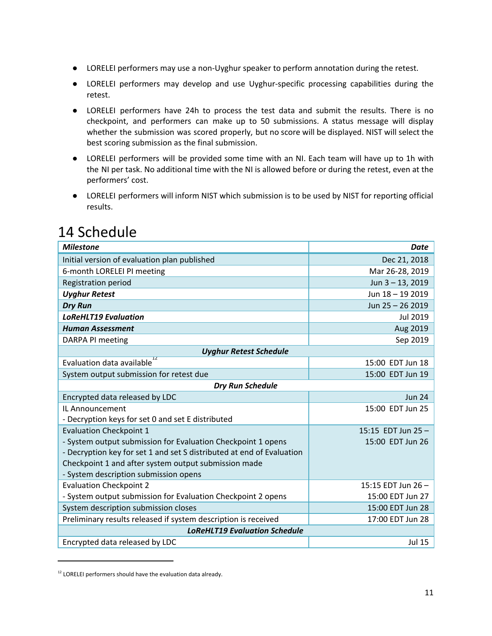- LORELEI performers may use a non-Uyghur speaker to perform annotation during the retest.
- LORELEI performers may develop and use Uyghur-specific processing capabilities during the retest.
- LORELEI performers have 24h to process the test data and submit the results. There is no checkpoint, and performers can make up to 50 submissions. A status message will display whether the submission was scored properly, but no score will be displayed. NIST will select the best scoring submission as the final submission.
- LORELEI performers will be provided some time with an NI. Each team will have up to 1h with the NI per task. No additional time with the NI is allowed before or during the retest, even at the performers' cost.
- LORELEI performers will inform NIST which submission is to be used by NIST for reporting official results.

| <b>Milestone</b>                                                      | <b>Date</b>       |  |
|-----------------------------------------------------------------------|-------------------|--|
| Initial version of evaluation plan published                          | Dec 21, 2018      |  |
| 6-month LORELEI PI meeting                                            | Mar 26-28, 2019   |  |
| <b>Registration period</b>                                            | Jun 3-13, 2019    |  |
| <b>Uyghur Retest</b>                                                  | Jun 18 - 19 2019  |  |
| <b>Dry Run</b>                                                        | Jun 25 - 26 2019  |  |
| <b>LoReHLT19 Evaluation</b>                                           | <b>Jul 2019</b>   |  |
| <b>Human Assessment</b>                                               | Aug 2019          |  |
| DARPA PI meeting                                                      | Sep 2019          |  |
| <b>Uyghur Retest Schedule</b>                                         |                   |  |
| $\overline{12}$<br>Evaluation data available                          | 15:00 EDT Jun 18  |  |
| System output submission for retest due                               | 15:00 EDT Jun 19  |  |
| <b>Dry Run Schedule</b>                                               |                   |  |
| Encrypted data released by LDC                                        | <b>Jun 24</b>     |  |
| IL Announcement                                                       | 15:00 EDT Jun 25  |  |
| - Decryption keys for set 0 and set E distributed                     |                   |  |
| <b>Evaluation Checkpoint 1</b>                                        | 15:15 EDT Jun 25- |  |
| - System output submission for Evaluation Checkpoint 1 opens          | 15:00 EDT Jun 26  |  |
| - Decryption key for set 1 and set S distributed at end of Evaluation |                   |  |
| Checkpoint 1 and after system output submission made                  |                   |  |
| - System description submission opens                                 |                   |  |
| <b>Evaluation Checkpoint 2</b>                                        | 15:15 EDT Jun 26- |  |
| - System output submission for Evaluation Checkpoint 2 opens          | 15:00 EDT Jun 27  |  |
| System description submission closes                                  | 15:00 EDT Jun 28  |  |
| Preliminary results released if system description is received        | 17:00 EDT Jun 28  |  |
| <b>LoReHLT19 Evaluation Schedule</b>                                  |                   |  |
| Encrypted data released by LDC                                        | <b>Jul 15</b>     |  |

## 14 Schedule

 $12$  LORELEI performers should have the evaluation data already.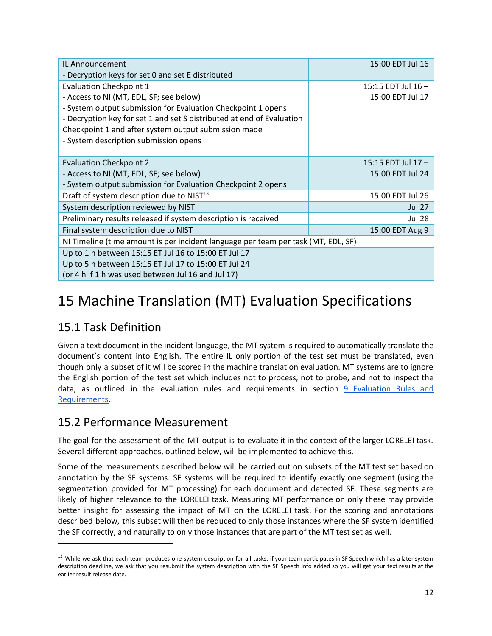| IL Announcement                                                                   | 15:00 EDT Jul 16  |  |
|-----------------------------------------------------------------------------------|-------------------|--|
| - Decryption keys for set 0 and set E distributed                                 |                   |  |
| <b>Evaluation Checkpoint 1</b>                                                    | 15:15 EDT Jul 16- |  |
| - Access to NI (MT, EDL, SF; see below)                                           | 15:00 EDT Jul 17  |  |
| - System output submission for Evaluation Checkpoint 1 opens                      |                   |  |
| - Decryption key for set 1 and set S distributed at end of Evaluation             |                   |  |
| Checkpoint 1 and after system output submission made                              |                   |  |
| - System description submission opens                                             |                   |  |
|                                                                                   |                   |  |
| <b>Evaluation Checkpoint 2</b>                                                    | 15:15 EDT Jul 17- |  |
| - Access to NI (MT, EDL, SF; see below)                                           | 15:00 EDT Jul 24  |  |
| - System output submission for Evaluation Checkpoint 2 opens                      |                   |  |
| Draft of system description due to NIST <sup>13</sup>                             | 15:00 EDT Jul 26  |  |
| System description reviewed by NIST                                               | <b>Jul 27</b>     |  |
| Preliminary results released if system description is received                    | <b>Jul 28</b>     |  |
| Final system description due to NIST                                              | 15:00 EDT Aug 9   |  |
| NI Timeline (time amount is per incident language per team per task (MT, EDL, SF) |                   |  |
| Up to 1 h between 15:15 ET Jul 16 to 15:00 ET Jul 17                              |                   |  |
| Up to 5 h between 15:15 ET Jul 17 to 15:00 ET Jul 24                              |                   |  |
| (or 4 h if 1 h was used between Jul 16 and Jul 17)                                |                   |  |

## <span id="page-11-0"></span>15 Machine Translation (MT) Evaluation Specifications

### 15.1 Task Definition

Given a text document in the incident language, the MT system is required to automatically translate the document's content into English. The entire IL only portion of the test set must be translated, even though only a subset of it will be scored in the machine translation evaluation. MT systems are to ignore the English portion of the test set which includes not to process, not to probe, and not to inspect the data, as outlined in the evaluation rules and requirements in section 9 [Evaluation](#page-8-0) Rules and [Requirements.](#page-8-0)

### 15.2 Performance Measurement

The goal for the assessment of the MT output is to evaluate it in the context of the larger LORELEI task. Several different approaches, outlined below, will be implemented to achieve this.

Some of the measurements described below will be carried out on subsets of the MT test set based on annotation by the SF systems. SF systems will be required to identify exactly one segment (using the segmentation provided for MT processing) for each document and detected SF. These segments are likely of higher relevance to the LORELEI task. Measuring MT performance on only these may provide better insight for assessing the impact of MT on the LORELEI task. For the scoring and annotations described below, this subset will then be reduced to only those instances where the SF system identified the SF correctly, and naturally to only those instances that are part of the MT test set as well.

<sup>&</sup>lt;sup>13</sup> While we ask that each team produces one system description for all tasks, if your team participates in SF Speech which has a later system description deadline, we ask that you resubmit the system description with the SF Speech info added so you will get your text results at the earlier result release date.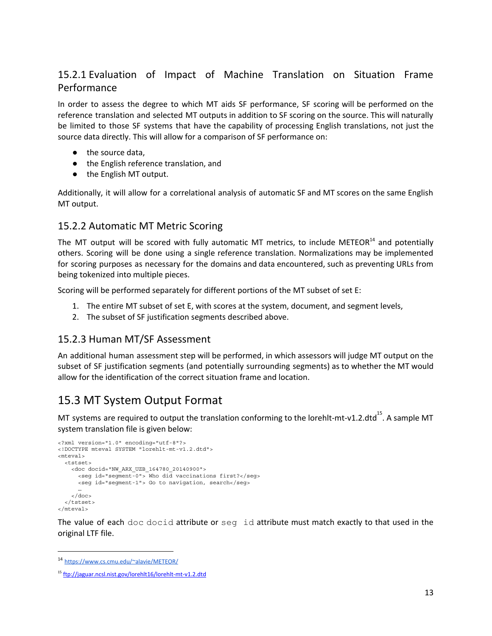#### 15.2.1 Evaluation of Impact of Machine Translation on Situation Frame Performance

In order to assess the degree to which MT aids SF performance, SF scoring will be performed on the reference translation and selected MT outputs in addition to SF scoring on the source. This will naturally be limited to those SF systems that have the capability of processing English translations, not just the source data directly. This will allow for a comparison of SF performance on:

- the source data.
- the English reference translation, and
- the English MT output.

Additionally, it will allow for a correlational analysis of automatic SF and MT scores on the same English MT output.

#### 15.2.2 Automatic MT Metric Scoring

The MT output will be scored with fully automatic MT metrics, to include METEOR<sup>14</sup> and potentially others. Scoring will be done using a single reference translation. Normalizations may be implemented for scoring purposes as necessary for the domains and data encountered, such as preventing URLs from being tokenized into multiple pieces.

Scoring will be performed separately for different portions of the MT subset of set E:

- 1. The entire MT subset of set E, with scores at the system, document, and segment levels,
- 2. The subset of SF justification segments described above.

#### <span id="page-12-1"></span>15.2.3 Human MT/SF Assessment

An additional human assessment step will be performed, in which assessors will judge MT output on the subset of SF justification segments (and potentially surrounding segments) as to whether the MT would allow for the identification of the correct situation frame and location.

### <span id="page-12-0"></span>15.3 MT System Output Format

MT systems are required to output the translation conforming to the lorehlt-mt-v1.2.dtd<sup>15</sup>. A sample MT system translation file is given below:

```
<?xml version="1.0" encoding="utf-8"?>
<!DOCTYPE mteval SYSTEM "lorehlt-mt-v1.2.dtd">
<mteval>
  <tstset>
    <doc docid="NW_ARX_UZB_164780_20140900">
      <seg id="segment-0"> Who did vaccinations first?</seg>
      <seg id="segment-1"> Go to navigation, search</seg>
      …
    </doc>
  </tstset>
</mteval>
```
The value of each doc docid attribute or seg id attribute must match exactly to that used in the original LTF file.

<sup>14</sup> <https://www.cs.cmu.edu/~alavie/METEOR/>

<sup>&</sup>lt;sup>15</sup> <ftp://jaguar.ncsl.nist.gov/lorehlt16/lorehlt-mt-v1.2.dtd>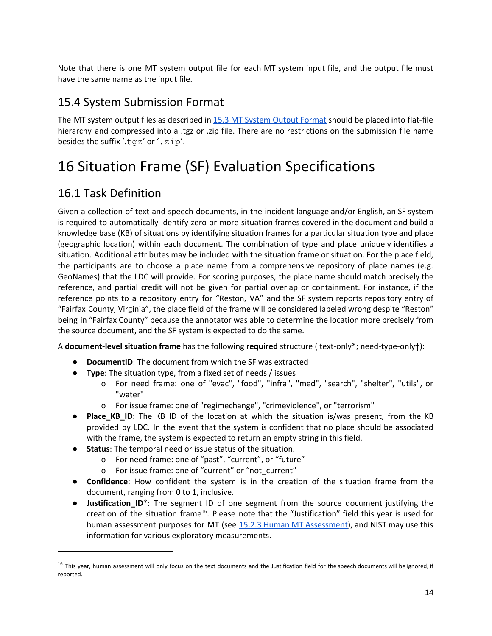Note that there is one MT system output file for each MT system input file, and the output file must have the same name as the input file.

### 15.4 System Submission Format

The MT system output files as described in 15.3 MT [System](#page-12-0) Output Format should be placed into flat-file hierarchy and compressed into a .tgz or .zip file. There are no restrictions on the submission file name besides the suffix '.tgz' or '.zip'.

## <span id="page-13-0"></span>16 Situation Frame (SF) Evaluation Specifications

### 16.1 Task Definition

Given a collection of text and speech documents, in the incident language and/or English, an SF system is required to automatically identify zero or more situation frames covered in the document and build a knowledge base (KB) of situations by identifying situation frames for a particular situation type and place (geographic location) within each document. The combination of type and place uniquely identifies a situation. Additional attributes may be included with the situation frame or situation. For the place field, the participants are to choose a place name from a comprehensive repository of place names (e.g. GeoNames) that the LDC will provide. For scoring purposes, the place name should match precisely the reference, and partial credit will not be given for partial overlap or containment. For instance, if the reference points to a repository entry for "Reston, VA" and the SF system reports repository entry of "Fairfax County, Virginia", the place field of the frame will be considered labeled wrong despite "Reston" being in "Fairfax County" because the annotator was able to determine the location more precisely from the source document, and the SF system is expected to do the same.

A **document-level situation frame** has the following **required** structure ( text-only\*; need-type-only†):

- **DocumentID**: The document from which the SF was extracted
- **Type**: The situation type, from a fixed set of needs / issues
	- o For need frame: one of "evac", "food", "infra", "med", "search", "shelter", "utils", or "water"
	- o For issue frame: one of "regimechange", "crimeviolence", or "terrorism"
- **Place KB ID**: The KB ID of the location at which the situation is/was present, from the KB provided by LDC. In the event that the system is confident that no place should be associated with the frame, the system is expected to return an empty string in this field.
- **Status**: The temporal need or issue status of the situation.
	- o For need frame: one of "past", "current", or "future"
	- o For issue frame: one of "current" or "not\_current"
- **Confidence**: How confident the system is in the creation of the situation frame from the document, ranging from 0 to 1, inclusive.
- **Justification\_ID**\*: The segment ID of one segment from the source document justifying the creation of the situation frame<sup>16</sup>. Please note that the "Justification" field this year is used for human assessment purposes for MT (see 15.2.3 Human MT [Assessment\)](#page-12-1), and NIST may use this information for various exploratory measurements.

<sup>&</sup>lt;sup>16</sup> This year, human assessment will only focus on the text documents and the Justification field for the speech documents will be ignored, if reported.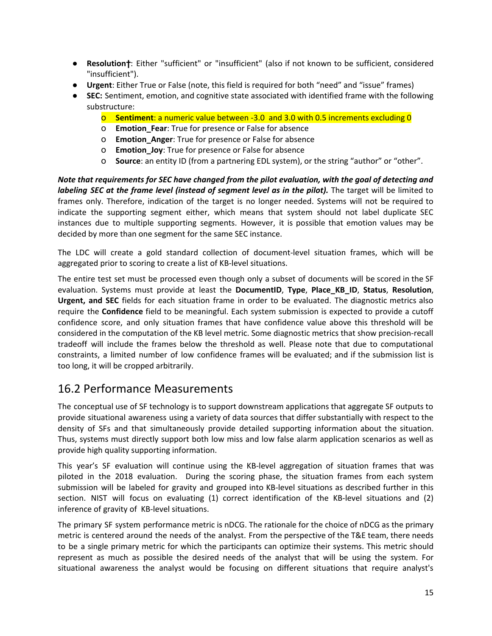- **Resolution**†: Either "sufficient" or "insufficient" (also if not known to be sufficient, considered "insufficient").
- **Urgent**: Either True or False (note, this field is required for both "need" and "issue" frames)
- **● SEC:** Sentiment, emotion, and cognitive state associated with identified frame with the following substructure:
	- o **Sentiment**: a numeric value between -3.0 and 3.0 with 0.5 increments excluding 0
	- o **Emotion\_Fear**: True for presence or False for absence
	- o **Emotion\_Anger**: True for presence or False for absence
	- o **Emotion\_Joy**: True for presence or False for absence
	- o **Source**: an entity ID (from a partnering EDL system), or the string "author" or "other".

*Note that requirements for SEC have changed from the pilot evaluation, with the goal of detecting and labeling SEC at the frame level (instead of segment level as in the pilot).* The target will be limited to frames only. Therefore, indication of the target is no longer needed. Systems will not be required to indicate the supporting segment either, which means that system should not label duplicate SEC instances due to multiple supporting segments. However, it is possible that emotion values may be decided by more than one segment for the same SEC instance.

The LDC will create a gold standard collection of document-level situation frames, which will be aggregated prior to scoring to create a list of KB-level situations.

The entire test set must be processed even though only a subset of documents will be scored in the SF evaluation. Systems must provide at least the **DocumentID**, **Type**, **Place\_KB\_ID**, **Status**, **Resolution**, **Urgent, and SEC** fields for each situation frame in order to be evaluated. The diagnostic metrics also require the **Confidence** field to be meaningful. Each system submission is expected to provide a cutoff confidence score, and only situation frames that have confidence value above this threshold will be considered in the computation of the KB level metric. Some diagnostic metrics that show precision-recall tradeoff will include the frames below the threshold as well. Please note that due to computational constraints, a limited number of low confidence frames will be evaluated; and if the submission list is too long, it will be cropped arbitrarily.

### 16.2 Performance Measurements

The conceptual use of SF technology is to support downstream applications that aggregate SF outputs to provide situational awareness using a variety of data sources that differ substantially with respect to the density of SFs and that simultaneously provide detailed supporting information about the situation. Thus, systems must directly support both low miss and low false alarm application scenarios as well as provide high quality supporting information.

This year's SF evaluation will continue using the KB-level aggregation of situation frames that was piloted in the 2018 evaluation. During the scoring phase, the situation frames from each system submission will be labeled for gravity and grouped into KB-level situations as described further in this section. NIST will focus on evaluating (1) correct identification of the KB-level situations and (2) inference of gravity of KB-level situations.

The primary SF system performance metric is nDCG. The rationale for the choice of nDCG as the primary metric is centered around the needs of the analyst. From the perspective of the T&E team, there needs to be a single primary metric for which the participants can optimize their systems. This metric should represent as much as possible the desired needs of the analyst that will be using the system. For situational awareness the analyst would be focusing on different situations that require analyst's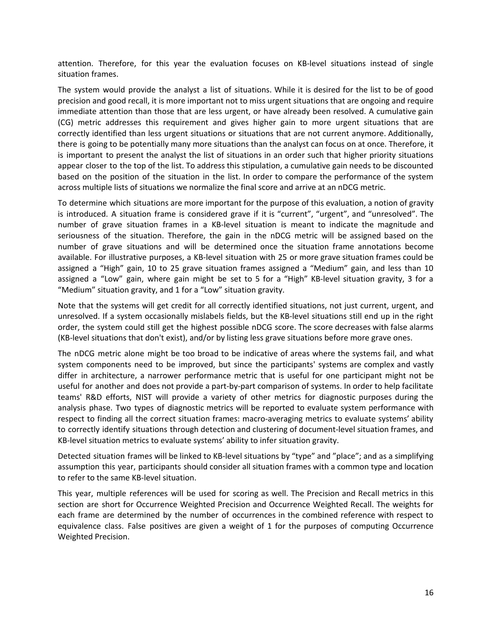attention. Therefore, for this year the evaluation focuses on KB-level situations instead of single situation frames.

The system would provide the analyst a list of situations. While it is desired for the list to be of good precision and good recall, it is more important not to miss urgent situations that are ongoing and require immediate attention than those that are less urgent, or have already been resolved. A cumulative gain (CG) metric addresses this requirement and gives higher gain to more urgent situations that are correctly identified than less urgent situations or situations that are not current anymore. Additionally, there is going to be potentially many more situations than the analyst can focus on at once. Therefore, it is important to present the analyst the list of situations in an order such that higher priority situations appear closer to the top of the list. To address this stipulation, a cumulative gain needs to be discounted based on the position of the situation in the list. In order to compare the performance of the system across multiple lists of situations we normalize the final score and arrive at an nDCG metric.

To determine which situations are more important for the purpose of this evaluation, a notion of gravity is introduced. A situation frame is considered grave if it is "current", "urgent", and "unresolved". The number of grave situation frames in a KB-level situation is meant to indicate the magnitude and seriousness of the situation. Therefore, the gain in the nDCG metric will be assigned based on the number of grave situations and will be determined once the situation frame annotations become available. For illustrative purposes, a KB-level situation with 25 or more grave situation frames could be assigned a "High" gain, 10 to 25 grave situation frames assigned a "Medium" gain, and less than 10 assigned a "Low" gain, where gain might be set to 5 for a "High" KB-level situation gravity, 3 for a "Medium" situation gravity, and 1 for a "Low" situation gravity.

Note that the systems will get credit for all correctly identified situations, not just current, urgent, and unresolved. If a system occasionally mislabels fields, but the KB-level situations still end up in the right order, the system could still get the highest possible nDCG score. The score decreases with false alarms (KB-level situations that don't exist), and/or by listing less grave situations before more grave ones.

The nDCG metric alone might be too broad to be indicative of areas where the systems fail, and what system components need to be improved, but since the participants' systems are complex and vastly differ in architecture, a narrower performance metric that is useful for one participant might not be useful for another and does not provide a part-by-part comparison of systems. In order to help facilitate teams' R&D efforts, NIST will provide a variety of other metrics for diagnostic purposes during the analysis phase. Two types of diagnostic metrics will be reported to evaluate system performance with respect to finding all the correct situation frames: macro-averaging metrics to evaluate systems' ability to correctly identify situations through detection and clustering of document-level situation frames, and KB-level situation metrics to evaluate systems' ability to infer situation gravity.

Detected situation frames will be linked to KB-level situations by "type" and "place"; and as a simplifying assumption this year, participants should consider all situation frames with a common type and location to refer to the same KB-level situation.

This year, multiple references will be used for scoring as well. The Precision and Recall metrics in this section are short for Occurrence Weighted Precision and Occurrence Weighted Recall. The weights for each frame are determined by the number of occurrences in the combined reference with respect to equivalence class. False positives are given a weight of 1 for the purposes of computing Occurrence Weighted Precision.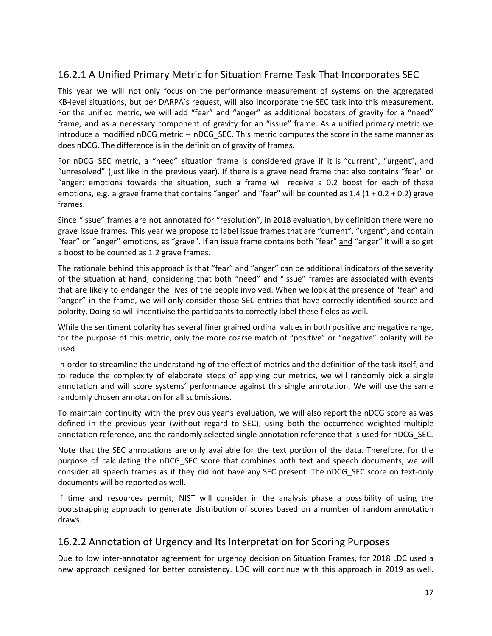#### 16.2.1 A Unified Primary Metric for Situation Frame Task That Incorporates SEC

This year we will not only focus on the performance measurement of systems on the aggregated KB-level situations, but per DARPA's request, will also incorporate the SEC task into this measurement. For the unified metric, we will add "fear" and "anger" as additional boosters of gravity for a "need" frame, and as a necessary component of gravity for an "issue" frame. As a unified primary metric we introduce a modified nDCG metric -- nDCG\_SEC. This metric computes the score in the same manner as does nDCG. The difference is in the definition of gravity of frames.

For nDCG\_SEC metric, a "need" situation frame is considered grave if it is "current", "urgent", and "unresolved" (just like in the previous year). If there is a grave need frame that also contains "fear" or "anger: emotions towards the situation, such a frame will receive a 0.2 boost for each of these emotions, e.g. a grave frame that contains "anger" and "fear" will be counted as  $1.4$  ( $1 + 0.2 + 0.2$ ) grave frames.

Since "issue" frames are not annotated for "resolution", in 2018 evaluation, by definition there were no grave issue frames. This year we propose to label issue frames that are "current", "urgent", and contain "fear" or "anger" emotions, as "grave". If an issue frame contains both "fear" and "anger" it will also get a boost to be counted as 1.2 grave frames.

The rationale behind this approach is that "fear" and "anger" can be additional indicators of the severity of the situation at hand, considering that both "need" and "issue" frames are associated with events that are likely to endanger the lives of the people involved. When we look at the presence of "fear" and "anger" in the frame, we will only consider those SEC entries that have correctly identified source and polarity. Doing so will incentivise the participants to correctly label these fields as well.

While the sentiment polarity has several finer grained ordinal values in both positive and negative range, for the purpose of this metric, only the more coarse match of "positive" or "negative" polarity will be used.

In order to streamline the understanding of the effect of metrics and the definition of the task itself, and to reduce the complexity of elaborate steps of applying our metrics, we will randomly pick a single annotation and will score systems' performance against this single annotation. We will use the same randomly chosen annotation for all submissions.

To maintain continuity with the previous year's evaluation, we will also report the nDCG score as was defined in the previous year (without regard to SEC), using both the occurrence weighted multiple annotation reference, and the randomly selected single annotation reference that is used for nDCG\_SEC.

Note that the SEC annotations are only available for the text portion of the data. Therefore, for the purpose of calculating the nDCG\_SEC score that combines both text and speech documents, we will consider all speech frames as if they did not have any SEC present. The nDCG\_SEC score on text-only documents will be reported as well.

If time and resources permit, NIST will consider in the analysis phase a possibility of using the bootstrapping approach to generate distribution of scores based on a number of random annotation draws.

#### 16.2.2 Annotation of Urgency and Its Interpretation for Scoring Purposes

Due to low inter-annotator agreement for urgency decision on Situation Frames, for 2018 LDC used a new approach designed for better consistency. LDC will continue with this approach in 2019 as well.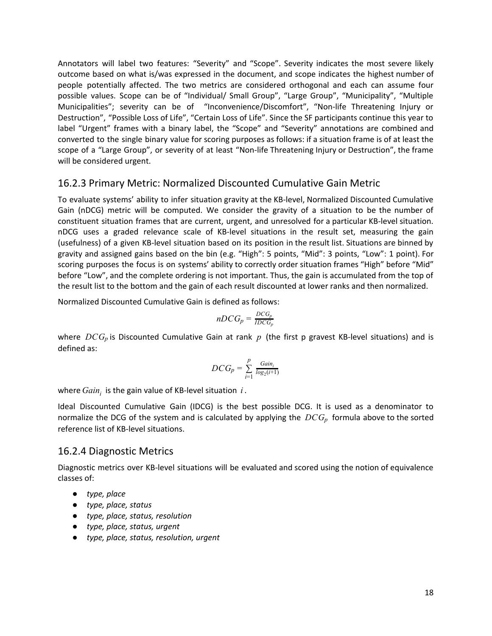Annotators will label two features: "Severity" and "Scope". Severity indicates the most severe likely outcome based on what is/was expressed in the document, and scope indicates the highest number of people potentially affected. The two metrics are considered orthogonal and each can assume four possible values. Scope can be of "Individual/ Small Group", "Large Group", "Municipality", "Multiple Municipalities"; severity can be of "Inconvenience/Discomfort", "Non-life Threatening Injury or Destruction", "Possible Loss of Life", "Certain Loss of Life". Since the SF participants continue this year to label "Urgent" frames with a binary label, the "Scope" and "Severity" annotations are combined and converted to the single binary value for scoring purposes as follows: if a situation frame is of at least the scope of a "Large Group", or severity of at least "Non-life Threatening Injury or Destruction", the frame will be considered urgent.

#### 16.2.3 Primary Metric: Normalized Discounted Cumulative Gain Metric

To evaluate systems' ability to infer situation gravity at the KB-level, Normalized Discounted Cumulative Gain (nDCG) metric will be computed. We consider the gravity of a situation to be the number of constituent situation frames that are current, urgent, and unresolved for a particular KB-level situation. nDCG uses a graded relevance scale of KB-level situations in the result set, measuring the gain (usefulness) of a given KB-level situation based on its position in the result list. Situations are binned by gravity and assigned gains based on the bin (e.g. "High": 5 points, "Mid": 3 points, "Low": 1 point). For scoring purposes the focus is on systems' ability to correctly order situation frames "High" before "Mid" before "Low", and the complete ordering is not important. Thus, the gain is accumulated from the top of the result list to the bottom and the gain of each result discounted at lower ranks and then normalized.

Normalized Discounted Cumulative Gain is defined as follows:

$$
nDCG_p = \frac{DCG_p}{IDCG_p}
$$

where *DCG<sup>p</sup>* is Discounted Cumulative Gain at rank *p* (the first p gravest KB-level situations) and is defined as:

$$
DCG_p = \sum_{i=1}^{p} \frac{Gain_i}{log_2(i+1)}
$$

where  $Gain_i$  is the gain value of KB-level situation  $i$ .

Ideal Discounted Cumulative Gain (IDCG) is the best possible DCG. It is used as a denominator to normalize the DCG of the system and is calculated by applying the *DCG<sup>p</sup>* formula above to the sorted reference list of KB-level situations.

#### <span id="page-17-0"></span>16.2.4 Diagnostic Metrics

Diagnostic metrics over KB-level situations will be evaluated and scored using the notion of equivalence classes of:

- *● type, place*
- *● type, place, status*
- *● type, place, status, resolution*
- *● type, place, status, urgent*
- *● type, place, status, resolution, urgent*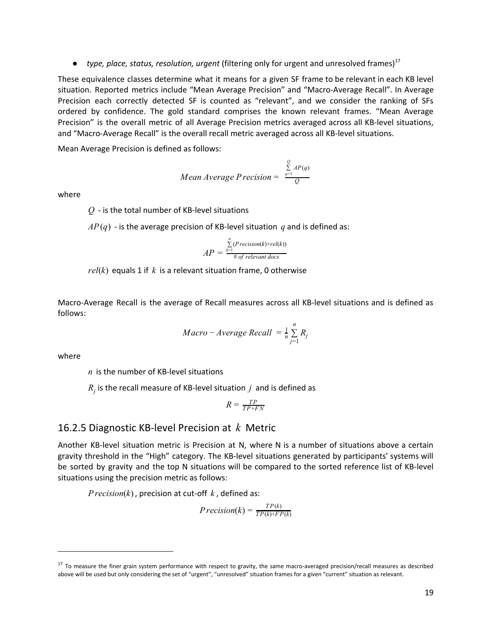*● type, place, status, resolution, urgent* (filtering only for urgent and unresolved frames) 17

These equivalence classes determine what it means for a given SF frame to be relevant in each KB level situation. Reported metrics include "Mean Average Precision" and "Macro-Average Recall". In Average Precision each correctly detected SF is counted as "relevant", and we consider the ranking of SFs ordered by confidence. The gold standard comprises the known relevant frames. "Mean Average Precision" is the overall metric of all Average Precision metrics averaged across all KB-level situations, and "Macro-Average Recall" is the overall recall metric averaged across all KB-level situations.

Mean Average Precision is defined as follows:

Mean Average Precision = 
$$
\frac{\sum_{q=1}^{Q} AP(q)}{Q}
$$

where

*Q* - is the total number of KB-level situations

 $AP(q)$  - is the average precision of KB-level situation *q* and is defined as:

$$
AP = \frac{\sum_{k=1}^{n} (Precision(k) \times rel(k))}{\text{\# of relevant docs}}
$$

*rel*(*k*) equals 1 if *k* is a relevant situation frame, 0 otherwise

Macro-Average Recall is the average of Recall measures across all KB-level situations and is defined as follows:

$$
Macco - Average Recall = \frac{1}{n} \sum_{j=1}^{n} R_j
$$

where

*n* is the number of KB-level situations

 $R_j$  is the recall measure of KB-level situation  $j$  and is defined as

$$
R = \frac{TP}{TP + FN}
$$

#### 16.2.5 Diagnostic KB-level Precision at *k* Metric

Another KB-level situation metric is Precision at N, where N is a number of situations above a certain gravity threshold in the "High" category. The KB-level situations generated by participants' systems will be sorted by gravity and the top N situations will be compared to the sorted reference list of KB-level situations using the precision metric as follows:

*Precision*(*k*) , precision at cut-off *k* , defined as:

$$
Precision(k) = \frac{TP(k)}{TP(k) + FP(k)}
$$

<sup>&</sup>lt;sup>17</sup> To measure the finer grain system performance with respect to gravity, the same macro-averaged precision/recall measures as described above will be used but only considering the set of "urgent", "unresolved" situation frames for a given "current" situation as relevant.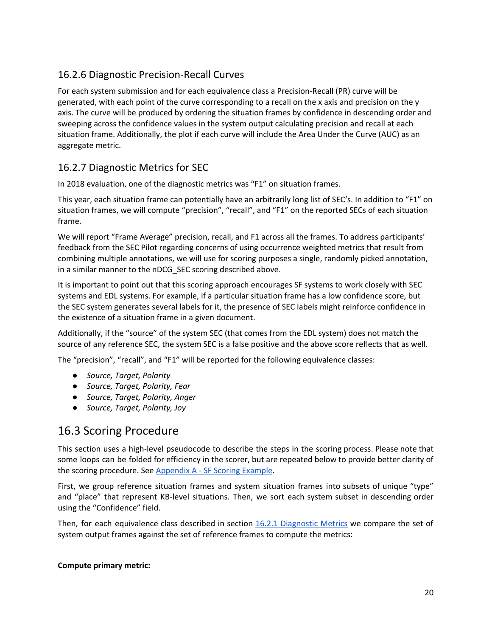### 16.2.6 Diagnostic Precision-Recall Curves

For each system submission and for each equivalence class a Precision-Recall (PR) curve will be generated, with each point of the curve corresponding to a recall on the x axis and precision on the y axis. The curve will be produced by ordering the situation frames by confidence in descending order and sweeping across the confidence values in the system output calculating precision and recall at each situation frame. Additionally, the plot if each curve will include the Area Under the Curve (AUC) as an aggregate metric.

#### 16.2.7 Diagnostic Metrics for SEC

In 2018 evaluation, one of the diagnostic metrics was "F1" on situation frames.

This year, each situation frame can potentially have an arbitrarily long list of SEC's. In addition to "F1" on situation frames, we will compute "precision", "recall", and "F1" on the reported SECs of each situation frame.

We will report "Frame Average" precision, recall, and F1 across all the frames. To address participants' feedback from the SEC Pilot regarding concerns of using occurrence weighted metrics that result from combining multiple annotations, we will use for scoring purposes a single, randomly picked annotation, in a similar manner to the nDCG\_SEC scoring described above.

It is important to point out that this scoring approach encourages SF systems to work closely with SEC systems and EDL systems. For example, if a particular situation frame has a low confidence score, but the SEC system generates several labels for it, the presence of SEC labels might reinforce confidence in the existence of a situation frame in a given document.

Additionally, if the "source" of the system SEC (that comes from the EDL system) does not match the source of any reference SEC, the system SEC is a false positive and the above score reflects that as well.

The "precision", "recall", and "F1" will be reported for the following equivalence classes:

- *● Source, Target, Polarity*
- *● Source, Target, Polarity, Fear*
- *● Source, Target, Polarity, Anger*
- *● Source, Target, Polarity, Joy*

### 16.3 Scoring Procedure

This section uses a high-level pseudocode to describe the steps in the scoring process. Please note that some loops can be folded for efficiency in the scorer, but are repeated below to provide better clarity of the scoring procedure. See Appendix A - SF Scoring Example.

First, we group reference situation frames and system situation frames into subsets of unique "type" and "place" that represent KB-level situations. Then, we sort each system subset in descending order using the "Confidence" field.

Then, for each equivalence class described in section 16.2.1 [Diagnostic](#page-17-0) Metrics we compare the set of system output frames against the set of reference frames to compute the metrics:

#### **Compute primary metric:**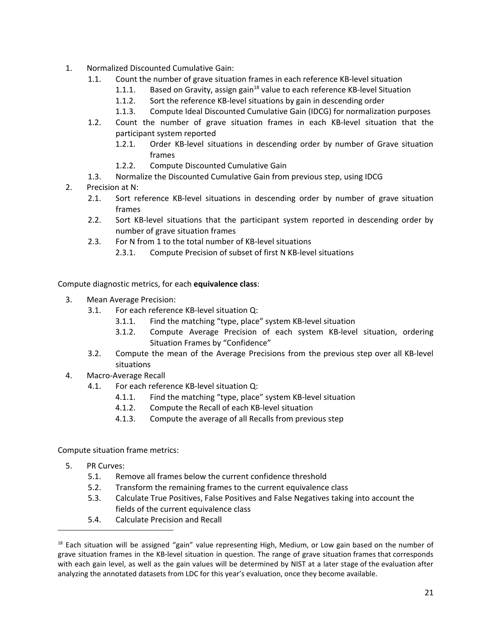- 1. Normalized Discounted Cumulative Gain:
	- 1.1. Count the number of grave situation frames in each reference KB-level situation
		- 1.1.1. Based on Gravity, assign gain $^{18}$  value to each reference KB-level Situation
			- 1.1.2. Sort the reference KB-level situations by gain in descending order
			- 1.1.3. Compute Ideal Discounted Cumulative Gain (IDCG) for normalization purposes
	- 1.2. Count the number of grave situation frames in each KB-level situation that the participant system reported
		- 1.2.1. Order KB-level situations in descending order by number of Grave situation frames
		- 1.2.2. Compute Discounted Cumulative Gain
	- 1.3. Normalize the Discounted Cumulative Gain from previous step, using IDCG
- 2. Precision at N:
	- 2.1. Sort reference KB-level situations in descending order by number of grave situation frames
	- 2.2. Sort KB-level situations that the participant system reported in descending order by number of grave situation frames
	- 2.3. For N from 1 to the total number of KB-level situations
		- 2.3.1. Compute Precision of subset of first N KB-level situations

Compute diagnostic metrics, for each **equivalence class**:

- 3. Mean Average Precision:
	- 3.1. For each reference KB-level situation Q:
		- 3.1.1. Find the matching "type, place" system KB-level situation
		- 3.1.2. Compute Average Precision of each system KB-level situation, ordering Situation Frames by "Confidence"
	- 3.2. Compute the mean of the Average Precisions from the previous step over all KB-level situations
- 4. Macro-Average Recall
	- 4.1. For each reference KB-level situation Q:
		- 4.1.1. Find the matching "type, place" system KB-level situation
		- 4.1.2. Compute the Recall of each KB-level situation
		- 4.1.3. Compute the average of all Recalls from previous step

Compute situation frame metrics:

- 5. PR Curves:
	- 5.1. Remove all frames below the current confidence threshold
	- 5.2. Transform the remaining frames to the current equivalence class
	- 5.3. Calculate True Positives, False Positives and False Negatives taking into account the fields of the current equivalence class
	- 5.4. Calculate Precision and Recall

<sup>&</sup>lt;sup>18</sup> Each situation will be assigned "gain" value representing High, Medium, or Low gain based on the number of grave situation frames in the KB-level situation in question. The range of grave situation frames that corresponds with each gain level, as well as the gain values will be determined by NIST at a later stage of the evaluation after analyzing the annotated datasets from LDC for this year's evaluation, once they become available.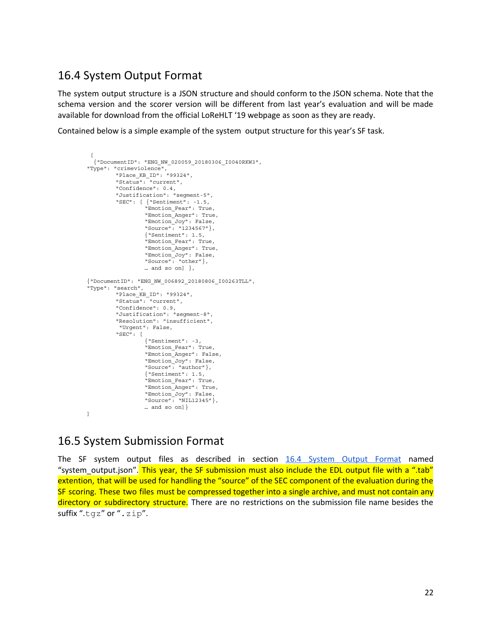#### <span id="page-21-0"></span>16.4 System Output Format

The system output structure is a JSON structure and should conform to the JSON schema. Note that the schema version and the scorer version will be different from last year's evaluation and will be made available for download from the official LoReHLT '19 webpage as soon as they are ready.

Contained below is a simple example of the system output structure for this year's SF task.

```
\left[ \right]{"DocumentID": "ENG_NW_020059_20180306_I0040RKW3",
"Type": "crimeviolence",
         "Place_KB_ID": "99324",
         "Status": "current",
         "Confidence": 0.4,
         "Justification": "segment-5",
         "SEC": [ {"Sentiment": -1.5,
                  "Emotion_Fear": True,
                  "Emotion_Anger": True,
                  "Emotion_Joy": False,
                  "Source": "1234567"},
                  {"Sentiment": 1.5,
                  "Emotion_Fear": True,
                  "Emotion_Anger": True,
                  "Emotion_Joy": False,
                  "Source": "other"},
                  … and so on] },
{"DocumentID": "ENG_NW_006892_20180806_I00263TLL",
"Type": "search",
         "Place_KB_ID": "99324",
         "Status": "current",
         "Confidence": 0.9,
         "Justification": "segment-8",
         "Resolution": "insufficient",
         "Urgent": False,
         "SEC": [
                  {"Sentiment": -3,
                  "Emotion_Fear": True,
                  "Emotion_Anger": False,
                  "Emotion_Joy": False,
                  "Source": "author"},
                  {"Sentiment": 1.5,
                  "Emotion_Fear": True,
                  "Emotion_Anger": True,
                  "Emotion_Joy": False,
                  "Source": "NIL12345"},
                  … and so on]}
]
```
### 16.5 System Submission Format

The SF system output files as described in section 16.4 System Output [Format](#page-21-0) named "system output.json". This year, the SF submission must also include the EDL output file with a ".tab" extention, that will be used for handling the "source" of the SEC component of the evaluation during the SF scoring. These two files must be compressed together into a single archive, and must not contain any directory or subdirectory structure. There are no restrictions on the submission file name besides the suffix ".tqz" or ".zip".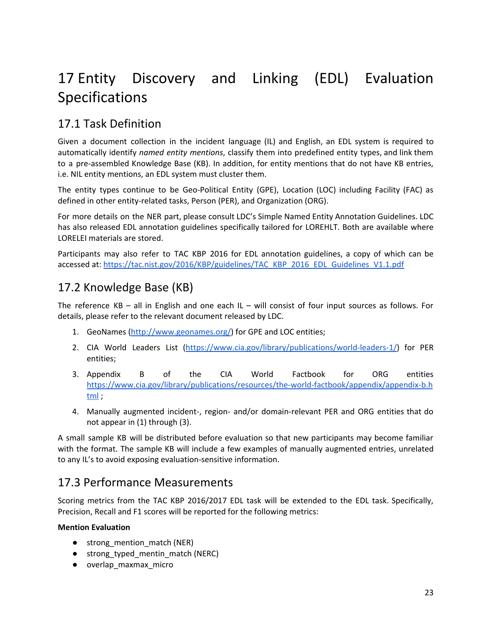## 17 Entity Discovery and Linking (EDL) Evaluation Specifications

## 17.1 Task Definition

Given a document collection in the incident language (IL) and English, an EDL system is required to automatically identify *named entity mentions*, classify them into predefined entity types, and link them to a pre-assembled Knowledge Base (KB). In addition, for entity mentions that do not have KB entries, i.e. NIL entity mentions, an EDL system must cluster them.

The entity types continue to be Geo-Political Entity (GPE), Location (LOC) including Facility (FAC) as defined in other entity-related tasks, Person (PER), and Organization (ORG).

For more details on the NER part, please consult LDC's Simple Named Entity Annotation Guidelines. LDC has also released EDL annotation guidelines specifically tailored for LOREHLT. Both are available where LORELEI materials are stored.

Participants may also refer to TAC KBP 2016 for EDL annotation guidelines, a copy of which can be accessed at: [https://tac.nist.gov/2016/KBP/guidelines/TAC\\_KBP\\_2016\\_EDL\\_Guidelines\\_V1.1.pdf](https://tac.nist.gov/2016/KBP/guidelines/TAC_KBP_2016_EDL_Guidelines_V1.1.pdf)

## 17.2 Knowledge Base (KB)

The reference KB – all in English and one each IL – will consist of four input sources as follows. For details, please refer to the relevant document released by LDC.

- 1. GeoNames (<http://www.geonames.org/>) for GPE and LOC entities;
- 2. CIA World Leaders List [\(https://www.cia.gov/library/publications/world-leaders-1/](https://www.cia.gov/library/publications/world-leaders-1/)) for PER entities;
- 3. Appendix B of the CIA World Factbook for ORG entities [https://www.cia.gov/library/publications/resources/the-world-factbook/appendix/appendix-b.h](https://www.cia.gov/library/publications/resources/the-world-factbook/appendix/appendix-b.html) [tml](https://www.cia.gov/library/publications/resources/the-world-factbook/appendix/appendix-b.html) ;
- 4. Manually augmented incident-, region- and/or domain-relevant PER and ORG entities that do not appear in (1) through (3).

A small sample KB will be distributed before evaluation so that new participants may become familiar with the format. The sample KB will include a few examples of manually augmented entries, unrelated to any IL's to avoid exposing evaluation-sensitive information.

### 17.3 Performance Measurements

Scoring metrics from the TAC KBP 2016/2017 EDL task will be extended to the EDL task. Specifically, Precision, Recall and F1 scores will be reported for the following metrics:

#### **Mention Evaluation**

- strong\_mention\_match (NER)
- strong\_typed\_mentin\_match (NERC)
- overlap\_maxmax\_micro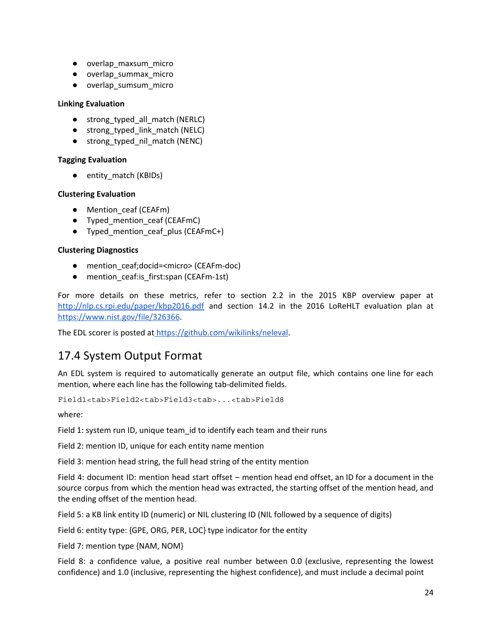- overlap\_maxsum\_micro
- overlap\_summax\_micro
- overlap\_sumsum\_micro

#### **Linking Evaluation**

- strong\_typed\_all\_match (NERLC)
- strong\_typed\_link\_match (NELC)
- strong\_typed\_nil\_match (NENC)

#### **Tagging Evaluation**

● entity\_match (KBIDs)

#### **Clustering Evaluation**

- Mention ceaf (CEAFm)
- Typed\_mention\_ceaf (CEAFmC)
- Typed\_mention\_ceaf\_plus (CEAFmC+)

#### **Clustering Diagnostics**

- mention ceaf;docid=<micro> (CEAFm-doc)
- mention\_ceaf:is\_first:span (CEAFm-1st)

For more details on these metrics, refer to section 2.2 in the 2015 KBP overview paper at <http://nlp.cs.rpi.edu/paper/kbp2016.pdf> and section 14.2 in the 2016 LoReHLT evaluation plan at [https://www.nist.gov/file/326366.](https://www.nist.gov/file/326366)

The EDL scorer is posted at <https://github.com/wikilinks/neleval>.

### 17.4 System Output Format

An EDL system is required to automatically generate an output file, which contains one line for each mention, where each line has the following tab-delimited fields.

Field1<tab>Field2<tab>Field3<tab>...<tab>Field8

where:

Field 1: system run ID, unique team id to identify each team and their runs

Field 2: mention ID, unique for each entity name mention

Field 3: mention head string, the full head string of the entity mention

Field 4: document ID: mention head start offset – mention head end offset, an ID for a document in the source corpus from which the mention head was extracted, the starting offset of the mention head, and the ending offset of the mention head.

Field 5: a KB link entity ID (numeric) or NIL clustering ID (NIL followed by a sequence of digits)

Field 6: entity type: {GPE, ORG, PER, LOC} type indicator for the entity

Field 7: mention type {NAM, NOM}

Field 8: a confidence value, a positive real number between 0.0 (exclusive, representing the lowest confidence) and 1.0 (inclusive, representing the highest confidence), and must include a decimal point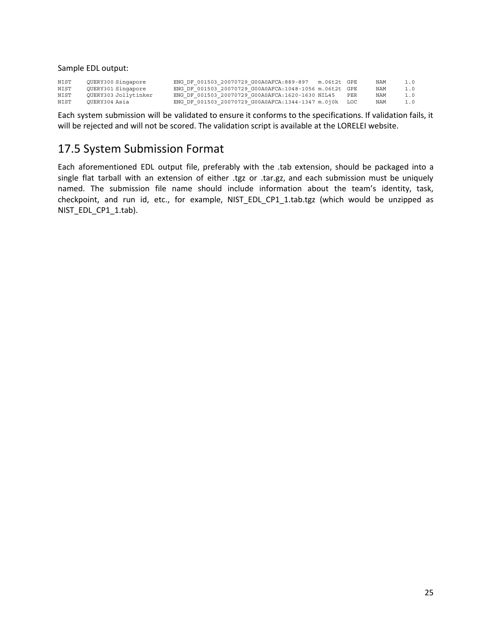Sample EDL output:

| NIST | OUERY300 Singapore   | ENG DF 001503 20070729 G00A0AFCA:889-897<br>m.06t2t GPE | NAM | 1.0 |
|------|----------------------|---------------------------------------------------------|-----|-----|
| NIST | OUERY301 Singapore   | ENG DF 001503 20070729 G00A0AFCA:1048-1056 m.06t2t GPE  | NAM | 1.0 |
| NIST | OUERY303 Jollytinker | ENG DF 001503 20070729 G00A0AFCA:1620-1630 NIL45<br>PER | NAM | 1.0 |
| NIST | OUERY304 Asia        | ENG DF 001503 20070729 G00A0AFCA:1344-1347 m.0j0k LOC   | NAM | 1.0 |

Each system submission will be validated to ensure it conforms to the specifications. If validation fails, it will be rejected and will not be scored. The validation script is available at the LORELEI website.

### 17.5 System Submission Format

Each aforementioned EDL output file, preferably with the .tab extension, should be packaged into a single flat tarball with an extension of either .tgz or .tar.gz, and each submission must be uniquely named. The submission file name should include information about the team's identity, task, checkpoint, and run id, etc., for example, NIST\_EDL\_CP1\_1.tab.tgz (which would be unzipped as NIST\_EDL\_CP1\_1.tab).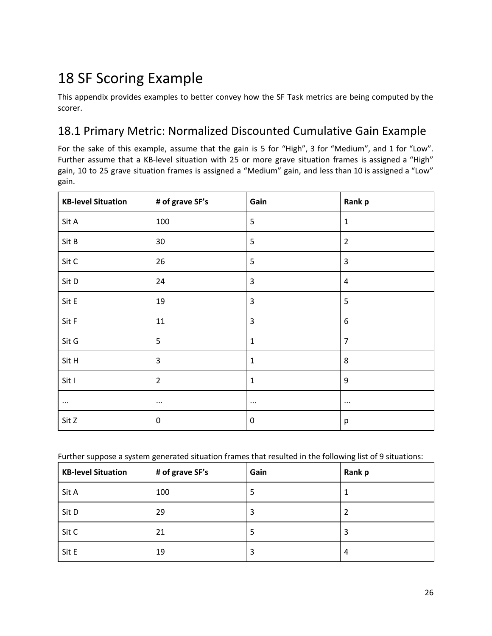## 18 SF Scoring Example

This appendix provides examples to better convey how the SF Task metrics are being computed by the scorer.

### 18.1 Primary Metric: Normalized Discounted Cumulative Gain Example

For the sake of this example, assume that the gain is 5 for "High", 3 for "Medium", and 1 for "Low". Further assume that a KB-level situation with 25 or more grave situation frames is assigned a "High" gain, 10 to 25 grave situation frames is assigned a "Medium" gain, and less than 10 is assigned a "Low" gain.

| <b>KB-level Situation</b> | # of grave SF's | Gain             | Rank p           |
|---------------------------|-----------------|------------------|------------------|
| Sit A                     | 100             | 5                | $\mathbf 1$      |
| Sit B                     | 30              | 5                | $\overline{2}$   |
| Sit C                     | 26              | 5                | $\mathbf{3}$     |
| Sit D                     | 24              | 3                | $\sqrt{4}$       |
| Sit E                     | 19              | $\overline{3}$   | 5                |
| Sit F                     | $11\,$          | $\overline{3}$   | $\boldsymbol{6}$ |
| Sit G                     | 5               | $\mathbf{1}$     | $\overline{7}$   |
| Sit H                     | $\mathbf{3}$    | $\mathbf{1}$     | 8                |
| Sit I                     | $\overline{2}$  | $\mathbf{1}$     | 9                |
| $\cdots$                  | $\cdots$        | $\cdots$         | $\cdots$         |
| Sit Z                     | 0               | $\boldsymbol{0}$ | p                |

Further suppose a system generated situation frames that resulted in the following list of 9 situations:

| <b>KB-level Situation</b> | # of grave SF's | Gain | Rank p |
|---------------------------|-----------------|------|--------|
| Sit A                     | 100             | 5    |        |
| Sit D                     | 29              | 3    | 2      |
| Sit C                     | 21              | 5    | 3      |
| Sit E                     | 19              | 3    | 4      |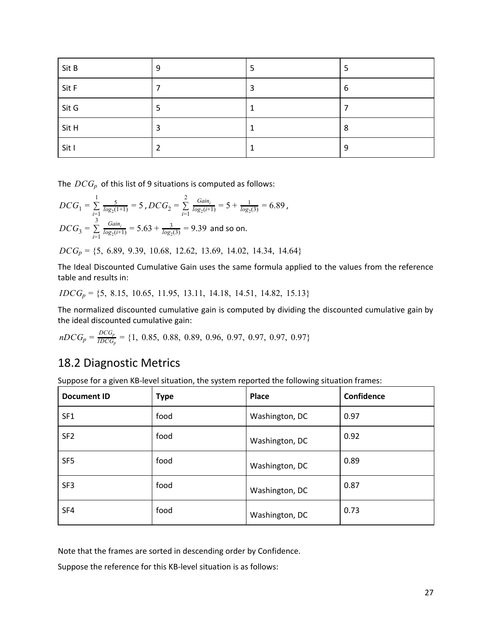| Sit B | 9 | 5 | 5 |
|-------|---|---|---|
| Sit F |   | 3 | 6 |
| Sit G |   |   |   |
| Sit H | 3 |   | 8 |
| Sit I |   | и | 9 |

The *DCG<sup>p</sup>* of this list of 9 situations is computed as follows:

$$
DCG_1 = \sum_{i=1}^{1} \frac{5}{\log_2(1+1)} = 5 \text{ , } DCG_2 = \sum_{i=1}^{2} \frac{Gain_i}{\log_2(i+1)} = 5 + \frac{1}{\log_2(3)} = 6.89 \text{ ,}
$$
\n
$$
DCG_3 = \sum_{i=1}^{3} \frac{Gain_i}{\log_2(i+1)} = 5.63 + \frac{3}{\log_2(3)} = 9.39 \text{ and so on.}
$$
\n
$$
DCG_p = \{5, 6.89, 9.39, 10.68, 12.62, 13.69, 14.02, 14.34, 14.64\}
$$

The Ideal Discounted Cumulative Gain uses the same formula applied to the values from the reference table and results in:

*IDCG<sup>p</sup>* = {5, 8.15, 10.65, 11.95, 13.11, 14.18, 14.51, 14.82, 15.13}

The normalized discounted cumulative gain is computed by dividing the discounted cumulative gain by the ideal discounted cumulative gain:

$$
nDCG_p = \frac{DCG_p}{IDCG_p} = \{1, 0.85, 0.88, 0.89, 0.96, 0.97, 0.97, 0.97, 0.97\}
$$

### 18.2 Diagnostic Metrics

Suppose for a given KB-level situation, the system reported the following situation frames:

| <b>Document ID</b> | <b>Type</b> | Place          | Confidence |
|--------------------|-------------|----------------|------------|
| SF <sub>1</sub>    | food        | Washington, DC | 0.97       |
| SF <sub>2</sub>    | food        | Washington, DC | 0.92       |
| SF <sub>5</sub>    | food        | Washington, DC | 0.89       |
| SF <sub>3</sub>    | food        | Washington, DC | 0.87       |
| SF4                | food        | Washington, DC | 0.73       |

Note that the frames are sorted in descending order by Confidence.

Suppose the reference for this KB-level situation is as follows: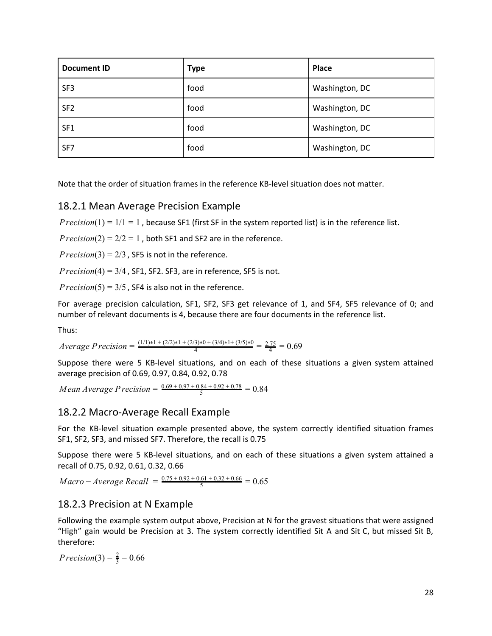| <b>Document ID</b> | <b>Type</b> | Place          |
|--------------------|-------------|----------------|
| SF <sub>3</sub>    | food        | Washington, DC |
| SF <sub>2</sub>    | food        | Washington, DC |
| SF <sub>1</sub>    | food        | Washington, DC |
| SF7                | food        | Washington, DC |

Note that the order of situation frames in the reference KB-level situation does not matter.

#### 18.2.1 Mean Average Precision Example

*Precision*( $1$ ) =  $1/1$  = 1, because SF1 (first SF in the system reported list) is in the reference list.

*Precision*( $2$ ) =  $2/2$  = 1, both SF1 and SF2 are in the reference.

 $Precision(3) = 2/3$ , SF5 is not in the reference.

 $Precision(4) = 3/4$ , SF1, SF2. SF3, are in reference, SF5 is not.

*Precision*(5) =  $3/5$ , SF4 is also not in the reference.

For average precision calculation, SF1, SF2, SF3 get relevance of 1, and SF4, SF5 relevance of 0; and number of relevant documents is 4, because there are four documents in the reference list.

Thus:

 $Average Precision = \frac{(1/1)*1 + (2/2)*1 + (2/3)*0 + (3/4)*1 + (3/5)*0}{4} = \frac{2.75}{4} = 0.69$ 

Suppose there were 5 KB-level situations, and on each of these situations a given system attained average precision of 0.69, 0.97, 0.84, 0.92, 0.78

*Mean Average Precision* =  $\frac{0.69 + 0.97 + 0.84 + 0.92 + 0.78}{5} = 0.84$ 

#### 18.2.2 Macro-Average Recall Example

For the KB-level situation example presented above, the system correctly identified situation frames SF1, SF2, SF3, and missed SF7. Therefore, the recall is 0.75

Suppose there were 5 KB-level situations, and on each of these situations a given system attained a recall of 0.75, 0.92, 0.61, 0.32, 0.66

 $Macco - Average Recall = \frac{0.75 + 0.92 + 0.61 + 0.32 + 0.66}{5} = 0.65$ 

#### 18.2.3 Precision at N Example

Following the example system output above, Precision at N for the gravest situations that were assigned "High" gain would be Precision at 3. The system correctly identified Sit A and Sit C, but missed Sit B, therefore:

*Precision*(3) =  $\frac{2}{3}$  = 0.66